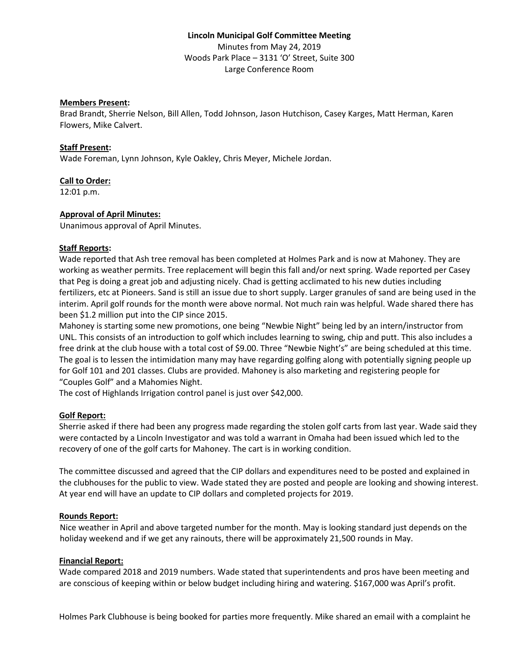# **Lincoln Municipal Golf Committee Meeting** Minutes from May 24, 2019 Woods Park Place – 3131 'O' Street, Suite 300 Large Conference Room

#### **Members Present:**

Brad Brandt, Sherrie Nelson, Bill Allen, Todd Johnson, Jason Hutchison, Casey Karges, Matt Herman, Karen Flowers, Mike Calvert.

### **Staff Present:**

Wade Foreman, Lynn Johnson, Kyle Oakley, Chris Meyer, Michele Jordan.

#### **Call to Order:**

12:01 p.m.

#### **Approval of April Minutes:**

Unanimous approval of April Minutes.

#### **Staff Reports:**

Wade reported that Ash tree removal has been completed at Holmes Park and is now at Mahoney. They are working as weather permits. Tree replacement will begin this fall and/or next spring. Wade reported per Casey that Peg is doing a great job and adjusting nicely. Chad is getting acclimated to his new duties including fertilizers, etc at Pioneers. Sand is still an issue due to short supply. Larger granules of sand are being used in the interim. April golf rounds for the month were above normal. Not much rain was helpful. Wade shared there has been \$1.2 million put into the CIP since 2015.

Mahoney is starting some new promotions, one being "Newbie Night" being led by an intern/instructor from UNL. This consists of an introduction to golf which includes learning to swing, chip and putt. This also includes a free drink at the club house with a total cost of \$9.00. Three "Newbie Night's" are being scheduled at this time. The goal is to lessen the intimidation many may have regarding golfing along with potentially signing people up for Golf 101 and 201 classes. Clubs are provided. Mahoney is also marketing and registering people for "Couples Golf" and a Mahomies Night.

The cost of Highlands Irrigation control panel is just over \$42,000.

#### **Golf Report:**

Sherrie asked if there had been any progress made regarding the stolen golf carts from last year. Wade said they were contacted by a Lincoln Investigator and was told a warrant in Omaha had been issued which led to the recovery of one of the golf carts for Mahoney. The cart is in working condition.

The committee discussed and agreed that the CIP dollars and expenditures need to be posted and explained in the clubhouses for the public to view. Wade stated they are posted and people are looking and showing interest. At year end will have an update to CIP dollars and completed projects for 2019.

# **Rounds Report:**

Nice weather in April and above targeted number for the month. May is looking standard just depends on the holiday weekend and if we get any rainouts, there will be approximately 21,500 rounds in May.

#### **Financial Report:**

Wade compared 2018 and 2019 numbers. Wade stated that superintendents and pros have been meeting and are conscious of keeping within or below budget including hiring and watering. \$167,000 was April's profit.

Holmes Park Clubhouse is being booked for parties more frequently. Mike shared an email with a complaint he